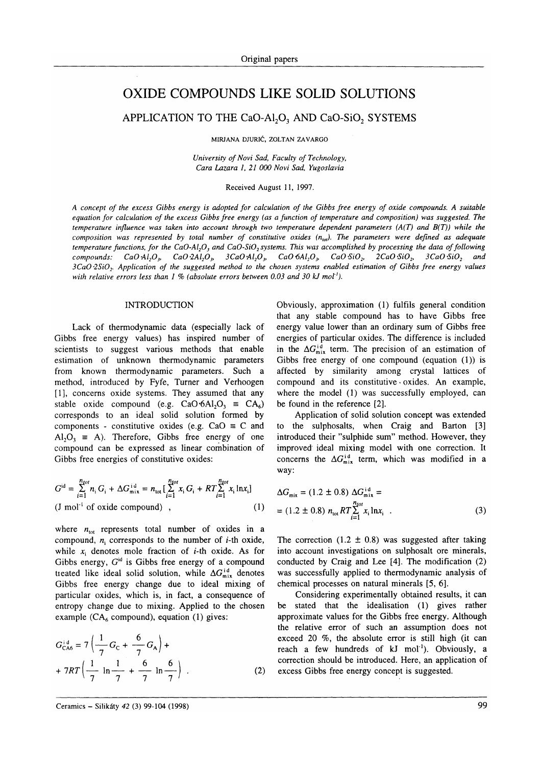# OXIDE COMPOUNDS LIKE SOLID SOLUTIONS

APPLICATION TO THE CaO-Al<sub>2</sub>O<sub>3</sub> AND CaO-SiO<sub>2</sub> SYSTEMS

MIRIANA oluntČ. ZoLTAN ZAVARGo

University of Novi Sad, Faculty of Technology, Cara Lazara 1, 21 000 Novi Sad, Yugoslavia

#### Received August ll, 1997.

A concept of the excess Gibbs energy is adopted for calculation of the Gibbs free energy of oxide compounds. A suitable equation for calculation of the excess Gibbs free energy (as a function of temperature and composition) was suggested. The temperature influence was taken into account through two temperature dependent parameters  $(A(T))$  and  $B(T)$ ) while the composition was represented by total number of constitutive oxides  $(n_{\text{tot}})$ . The parameters were defined as adequate temperature functions, for the CaO-Al<sub>2</sub>O, and CaO-SiO<sub>2</sub> systems. This was accomplished by processing the data of following compounds: CaO Al<sub>2</sub>O<sub>3</sub>, CaO 2Al<sub>2</sub>O<sub>3</sub>, 3CaO Al<sub>2</sub>O<sub>3</sub>, CaO  $6Al_2O_3$ , CaO  $6O_2$ , 2CaO  $6SO_2$ , 3CaO  $6SO_2$  and 3CaO 2SiO<sub>2</sub>. Application of the suggested method to the chosen systems enabled estimation of Gibbs free energy values with relative errors less than  $1\%$  (absolute errors between 0.03 and 30 kJ mol<sup>-1</sup>).

#### INTRODUCTION

Lack of thermodynamic data (especially lack of Gibbs free energy values) has inspired number of scientists to suggest various methods that enable estimation of unknown thermodynamic parameters from known thermodynamic parameters. Such <sup>a</sup> method, introduced by Fyfe, Turner and Verhoogen [1], concerns oxide systems. They assumed that any stable oxide compound (e.g.  $CaO·6Al<sub>2</sub>O<sub>3</sub> \equiv CA<sub>6</sub>$ ) corresponds to an ideal solid solution formed by components - constitutive oxides (e.g.  $CaO \equiv C$  and  $Al_2O_3 \equiv A$ ). Therefore, Gibbs free energy of one compound can be expressed as linear combination of Gibbs free energies of constitutive oxides:

$$
G^{id} = \sum_{i=1}^{n_{tot}} n_i G_i + \Delta G_{\text{mix}}^{id} = n_{tot} \left[ \sum_{i=1}^{n_{tot}} x_i G_i + RT \sum_{i=1}^{n_{tot}} x_i \ln x_i \right]
$$
  
(J mol<sup>-1</sup> of oxide compound) , (1)

where  $n_{tot}$  represents total number of oxides in a compound,  $n_i$  corresponds to the number of *i*-th oxide, while  $x_i$  denotes mole fraction of *i*-th oxide. As for Gibbs energy,  $G<sup>id</sup>$  is Gibbs free energy of a compound treated like ideal solid solution, while  $\Delta G_{\text{mix}}^{id}$  denotes Gibbs free energy change due to ideal mixing of particular oxides, which is, in fact, a consequence of entropy change due to mixing. Applied to the chosen example ( $CA<sub>6</sub>$  compound), equation (1) gives:

$$
G_{\text{CA6}}^{\text{id}} = 7 \left( \frac{1}{7} G_{\text{C}} + \frac{6}{7} G_{\text{A}} \right) +
$$
  
+ 7RT  $\left( \frac{1}{7} \ln \frac{1}{7} + \frac{6}{7} \ln \frac{6}{7} \right)$  (2)

Obviously, approximation (1) fulfils general condition that any stable compound has to have Gibbs free energy value lower than an ordinary sum of Gibbs free energies of particular oxides. The difference is included in the 
$$
\Delta G_{\text{mix}}^{id}
$$
 term. The precision of an estimation of Gibbs free energy of one compound (equation (1)) is affected by similarity among crystal lattices of compound and its constitutive oxides. An example, where the model (1) was successfully employed, can be found in the reference [2].

Application of solid solution concept was extended to the sulphosalts, when  $Craig$  and Barton  $[3]$ introduced their "sulphide sum" method. However, they improved ideal mixing model with one correction. It concerns the  $\Delta G_{\text{mix}}^{id}$  term, which was modified in a way:

$$
\Delta G_{\text{mix}} = (1.2 \pm 0.8) \Delta G_{\text{mix}}^{\text{id}} =
$$
  
= (1.2 \pm 0.8)  $n_{\text{tot}} RT \sum_{i=1}^{n_{\text{tot}}} x_i \ln x_i$ . (3)

The correction  $(1.2 \pm 0.8)$  was suggested after taking into account investigations on sulphosalt ore minerals, conducted by Craig and Lee  $[4]$ . The modification  $(2)$ was successfully applied to thermodynamic analysis of chemical processes on natural minerals [5, 6].

Considering experimentally obtained results, it can be stated that the idealisation (1) gives rather approximate values for the Gibbs free energy. Although the relative error of such an assumption does not exceed 20 %, the absolute error is still high (it can reach a few hundreds of kJ mol<sup>-1</sup>). Obviously, a correction should be introduced. Here, an application of excess Gibbs free energy concept is suggested.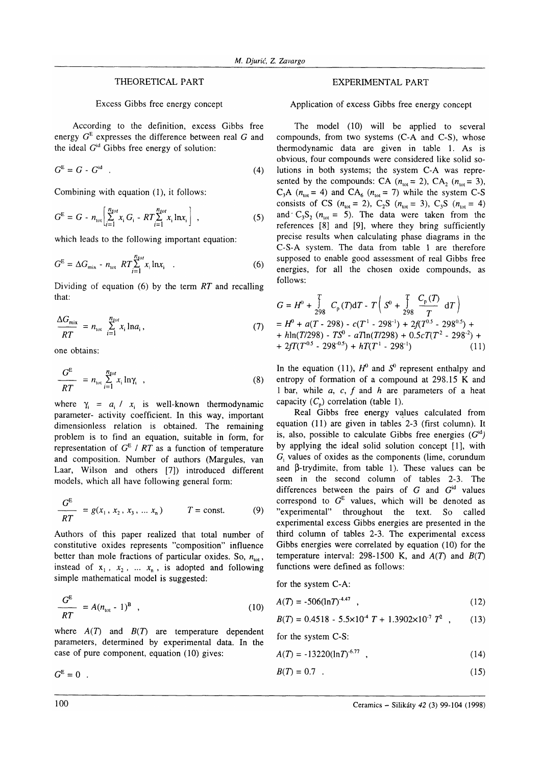## THEORETICAL PART

Excess Gibbs free energy concept

According to the definition, excess Gibbs free energy  $G<sup>E</sup>$  expresses the difference between real G and the ideal  $G<sup>id</sup>$  Gibbs free energy of solution:

$$
G^{\mathsf{E}} = G - G^{\text{id}} \tag{4}
$$

Combining with equation (1), it follows:

$$
G^{E} = G - n_{\text{tot}} \left[ \sum_{i=1}^{n_{\text{tot}}} x_{i} G_{i} - RT \sum_{i=1}^{n_{\text{tot}}} x_{i} \ln x_{i} \right] , \qquad (5)
$$

which leads to the following important equation:

$$
G^{E} = \Delta G_{\text{mix}} - n_{\text{tot}} \ RT \sum_{i=1}^{n_{\text{tot}}} x_{i} \ln x_{i} \quad . \tag{6}
$$

Dividing of equation  $(6)$  by the term RT and recalling that:

$$
\frac{\Delta G_{\text{mix}}}{RT} = n_{\text{tot}} \sum_{i=1}^{n_{\text{tot}}} x_i \ln a_i, \tag{7}
$$

one obtains:

$$
\frac{G^{E}}{RT} = n_{\text{tot}} \sum_{i=1}^{n_{tot}} x_{i} \ln \gamma_{i} , \qquad (8)
$$

where  $\gamma_i = a_i / x_i$  is well-known thermodynamic parameter- activity coefficient. In this way, important dimensionless relation is obtained. The remaining problem is to find an equation, suitable in form, for representation of  $G<sup>E</sup>$  / RT as a function of temperature and composition. Number of authors (Margules, van Laar, Wilson and others [7]) introduced different models, which all have following general form:

$$
\frac{G^{E}}{RT} = g(x_1, x_2, x_3, ... x_n) \qquad T = \text{const.}
$$
 (9)

Authors of this paper realized that total number of constitutive oxides represents "composition" influence better than mole fractions of particular oxides. So,  $n_{tot}$ , instead of  $x_1$ ,  $x_2$ , ...  $x_n$ , is adopted and following simple mathematical model is suggested:

$$
\frac{G^{E}}{RT} = A(n_{\text{tot}} - 1)^{B} \quad , \tag{10}
$$

where  $A(T)$  and  $B(T)$  are temperature dependent parameters, determined by experimental data. In the case of pure component, equation (10) gives:

 $G^{\rm E}=0$ .

#### EXPERIMENTAL PART

Application of excess Gibbs free energy concept

The model (10) will be applied to several compounds, from two systems (C-A and C-S), whose thermodynamic data are given in table 1. As is obvious, four compounds were considered like solid solutions in both systems; the system C-A was represented by the compounds: CA ( $n_{\text{tot}} = 2$ ), CA<sub>2</sub> ( $n_{\text{tot}} = 3$ ),  $C_3A$  ( $n_{tot}$  = 4) and  $CA_6$  ( $n_{tot}$  = 7) while the system C-S consists of CS ( $n_{\text{tot}} = 2$ ), C<sub>2</sub>S ( $n_{\text{tot}} = 3$ ), C<sub>3</sub>S ( $n_{\text{tot}} = 4$ ) and  $C_3S_2$  ( $n_{\text{tot}} = 5$ ). The data were taken from the references  $[8]$  and  $[9]$ , where they bring sufficiently precise results when calculating phase diagrams in the C-S-A system. The data from table I are therefore supposed to enable good assessment of real Gibbs free energies, for all the chosen oxide compounds, as follows:

$$
G = H^{0} + \frac{1}{298} C_{p}(T) dT - T \left( S^{0} + \frac{1}{298} \frac{C_{p}(T)}{T} dT \right)
$$
  
=  $H^{0} + a(T - 298) - c(T^{1} - 298^{1}) + 2f(T^{0.5} - 298^{0.5}) +$   
+  $h \ln(T/298) - TS^{0} - aT \ln(T/298) + 0.5cT(T^{2} - 298^{2}) +$   
+  $2fT(T^{0.5} - 298^{0.5}) + hT(T^{1} - 298^{1})$  (11)

In the equation (11),  $H^0$  and  $S^0$  represent enthalpy and entropy of formation of a compound at 298.15 K and 1 bar, while  $a$ ,  $c$ ,  $f$  and  $h$  are parameters of a heat capacity  $(C_n)$  correlation (table 1).

Real Gibbs free energy values calculated from equation (11) are given in tables 2-3 (first column). It is, also, possible to calculate Gibbs free energies  $(G<sup>id</sup>)$ by applying the ideal solid solution concept [1], with  $G<sub>i</sub>$  values of oxides as the components (lime, corundum and  $\beta$ -trydimite, from table 1). These values can be seen in the second column of tables 2-3. The differences between the pairs of  $G$  and  $G<sup>id</sup>$  values correspond to  $G^E$  values, which will be denoted as "experimental" throughout the text. So called experimental excess Gibbs energies are presented in the third column of tables 2-3. The experimental excess Gibbs energies were correlated by equation (10) for the temperature interval: 298-1500 K, and  $A(T)$  and  $B(T)$ functions were defined as follows:

for the system C-A:

$$
(10) \tA(T) = -506(\ln T)^{4.47} \t(12)
$$

$$
B(T) = 0.4518 - 5.5 \times 10^4 T + 1.3902 \times 10^7 T^2 , \qquad (13)
$$

for the system C-S:

$$
A(T) = -13220(\ln T)^{6.77} \quad , \tag{14}
$$

$$
B(T) = 0.7 \tag{15}
$$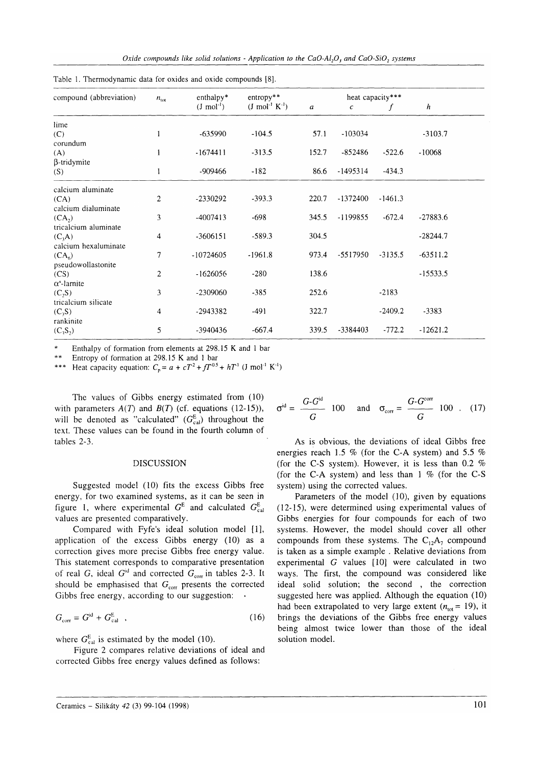Oxide compounds like solid solutions - Application to the  $CaO-AI, O$ , and  $CaO-SiO$ , systems

| compound (abbreviation) | heat capacity***<br>$enthalpy*$<br>$entropy**$<br>$n_{\text{tot}}$ |                        |                               |       |                  |           |                  |  |
|-------------------------|--------------------------------------------------------------------|------------------------|-------------------------------|-------|------------------|-----------|------------------|--|
|                         |                                                                    | $(J \text{ mol}^{-1})$ | $(J \text{ mol}^{-1} K^{-1})$ | a     | $\boldsymbol{c}$ | f         | $\boldsymbol{h}$ |  |
| lime                    |                                                                    |                        |                               |       |                  |           |                  |  |
| (C)                     | 1                                                                  | $-635990$              | $-104.5$                      | 57.1  | $-103034$        |           | $-3103.7$        |  |
| corundum                |                                                                    |                        |                               |       |                  |           |                  |  |
| (A)                     | 1                                                                  | $-1674411$             | $-313.5$                      | 152.7 | $-852486$        | $-522.6$  | $-10068$         |  |
| $\beta$ -tridymite      |                                                                    |                        |                               |       |                  |           |                  |  |
| (S)                     | 1                                                                  | $-909466$              | $-182$                        | 86.6  | $-1495314$       | $-434.3$  |                  |  |
| calcium aluminate       |                                                                    |                        |                               |       |                  |           |                  |  |
| (CA)                    | 2                                                                  | -2330292               | $-393.3$                      | 220.7 | -1372400         | $-1461.3$ |                  |  |
| calcium dialuminate     |                                                                    |                        |                               |       |                  |           |                  |  |
| (CA <sub>2</sub> )      | 3                                                                  | $-4007413$             | $-698$                        | 345.5 | $-1199855$       | $-672.4$  | $-27883.6$       |  |
| tricalcium aluminate    |                                                                    |                        |                               |       |                  |           |                  |  |
| $(C_3A)$                | 4                                                                  | $-3606151$             | $-589.3$                      | 304.5 |                  |           | $-28244.7$       |  |
| calcium hexaluminate    |                                                                    |                        |                               |       |                  |           |                  |  |
| $(CA_6)$                | 7                                                                  | $-10724605$            | $-1961.8$                     | 973.4 | -5517950         | $-3135.5$ | $-63511.2$       |  |
| pseudowollastonite      |                                                                    |                        |                               |       |                  |           |                  |  |
| (CS)                    | 2                                                                  | $-1626056$             | $-280$                        | 138.6 |                  |           | $-15533.5$       |  |
| $\alpha'$ -larnite      |                                                                    |                        |                               |       |                  |           |                  |  |
| $(C_2S)$                | 3                                                                  | $-2309060$             | $-385$                        | 252.6 |                  | $-2183$   |                  |  |
| tricalcium silicate     |                                                                    |                        |                               |       |                  |           |                  |  |
| $(C_3S)$                | 4                                                                  | -2943382               | $-491$                        | 322.7 |                  | $-2409.2$ | $-3383$          |  |
| rankinite               |                                                                    |                        |                               |       |                  |           |                  |  |
| $(C_3S_2)$              | 5                                                                  | $-3940436$             | $-667.4$                      | 339.5 | -3384403         | $-772.2$  | $-12621.2$       |  |

Table 1. Thermodynamic data for oxides and oxide compounds [8].

Enthalpy of formation from elements at 298.15 K and 1 bar

 $**$  Entropy of formation at 298.15 K and 1 bar

\*\*\* Heat capacity equation:  $C_p = a + cT^2 + fT^{0.5} + hT^1$  (J mol<sup>-1</sup> K<sup>-1</sup>)

The values of Gibbs energy estimated from (10) with parameters  $A(T)$  and  $B(T)$  (cf. equations (12-15)), will be denoted as "calculated"  $(G_{cal}^{E})$  throughout the text. These values can be found in the fourth column of tables 2-3.

### DISCUSSION

Suggested model (10) fits the excess Gibbs free energy, for two examined systems, as it can be seen in figure 1, where experimental  $G<sup>E</sup>$  and calculated  $G<sup>E</sup>_{cal}$ values are presented comparatively.

Compared with Fyfe's ideal solution model [1], application of the excess Gibbs energy (10) as <sup>a</sup> correction gives more precise Gibbs free energy value. This statement corresponds to comparative presentation of real G, ideal  $G<sup>id</sup>$  and corrected  $G<sub>corr</sub>$  in tables 2-3. It should be emphasised that  $G<sub>corr</sub>$  presents the corrected Gibbs free energy, according to our suggestion:

$$
G_{\text{corr}} = G^{\text{id}} + G_{\text{cal}}^{\text{E}} \quad , \tag{16}
$$

where  $G_{\text{cal}}^{\text{E}}$  is estimated by the model (10).

Figure 2 compares relative deviations of ideal and corrected Gibbs free energy values defined as follows:

$$
\sigma^{\rm id} = \frac{G \cdot G^{\rm id}}{G} \quad 100 \quad \text{and} \quad \sigma_{\rm corr} = \frac{G \cdot G^{\rm corr}}{G} \quad 100 \quad . \quad (17)
$$

As is obvious, the deviations of ideal Gibbs free energies reach 1.5 % (for the C-A system) and 5.5 % (for the C-S system). However, it is less than 0.2  $%$ (for the C-A system) and less than  $1\%$  (for the C-S system) using the corrected values.

Parameters of the model (10), given by equations (12-15), were determined using experimental values of Gibbs energies for four compounds for each of two systems. However, the model should cover all other compounds from these systems. The  $C_{12}A_7$  compound is taken as a simple example . Relative deviations from experimental  $G$  values  $[10]$  were calculated in two ways. The first, the compound was considered like ideal solid solution; the second, the correction suggested here was applied. Although the equation (10) had been extrapolated to very large extent ( $n_{\text{tot}} = 19$ ), it brings the deviations of the Gibbs free energy values being almost twice lower than those of the ideal solution model.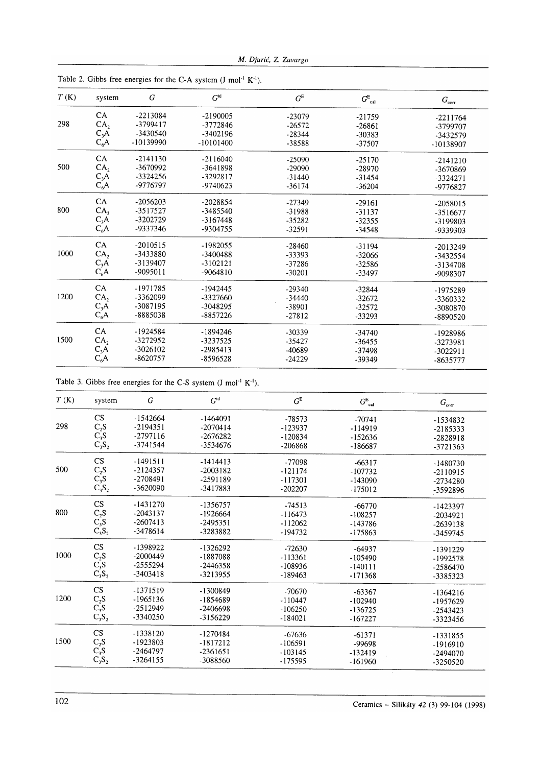|  |  |  |  | M. Djurić, Z. Zavargo |
|--|--|--|--|-----------------------|
|--|--|--|--|-----------------------|

| T(K) | system            | $\boldsymbol{G}$ | $G^{\rm id}$ | $G^{\rm E}$ | $G^{\rm E}_{\rm cal}$ | $G_{\rm corr}$ |
|------|-------------------|------------------|--------------|-------------|-----------------------|----------------|
|      | <b>CA</b>         | $-2213084$       | $-2190005$   | $-23079$    | $-21759$              | $-2211764$     |
| 298  | CA <sub>2</sub>   | -3799417         | -3772846     | $-26572$    | $-26861$              | -3799707       |
|      | $C_3A$            | $-3430540$       | $-3402196$   | $-28344$    | $-30383$              | -3432579       |
|      | $C_6A$            | -10139990        | $-10101400$  | -38588      | -37507                | -10138907      |
|      | <b>CA</b>         | $-2141130$       | $-2116040$   | $-25090$    | $-25170$              | $-2141210$     |
| 500  | CA <sub>2</sub>   | -3670992         | $-3641898$   | $-29090$    | $-28970$              | -3670869       |
|      | $C_3A$            | -3324256         | -3292817     | $-31440$    | $-31454$              | $-3324271$     |
|      | $C_6A$            | -9776797         | $-9740623$   | $-36174$    | $-36204$              | -9776827       |
|      | CA                | $-2056203$       | $-2028854$   | $-27349$    | $-29161$              | -2058015       |
| 800  | CA <sub>2</sub>   | -3517527         | -3485540     | -31988      | $-31137$              | -3516677       |
|      | $C_3\overline{A}$ | $-3202729$       | $-3167448$   | $-35282$    | $-32355$              | -3199803       |
|      | $C_6A$            | -9337346         | -9304755     | $-32591$    | -34548                | -9339303       |
|      | <b>CA</b>         | $-2010515$       | $-1982055$   | $-28460$    | $-31194$              | $-2013249$     |
| 1000 | CA <sub>2</sub>   | -3433880         | -3400488     | -33393      | $-32066$              | -3432554       |
|      | $C_3A$            | $-3139407$       | $-3102121$   | $-37286$    | $-32586$              | -3134708       |
|      | $C_6A$            | $-9095011$       | $-9064810$   | $-30201$    | -33497                | -9098307       |
|      | CA                | -1971785         | $-1942445$   | $-29340$    | $-32844$              | -1975289       |
| 1200 | CA <sub>2</sub>   | -3362099         | -3327660     | $-34440$    | $-32672$              | -3360332       |
|      | $C_3A$            | -3087195         | -3048295     | -38901      | $-32572$              | -3080870       |
|      | $C_6A$            | -8885038         | -8857226     | $-27812$    | $-33293$              | -8890520       |
|      | <b>CA</b>         | -1924584         | $-1894246$   | $-30339$    | $-34740$              | -1928986       |
| 1500 | CA <sub>2</sub>   | -3272952         | -3237525     | $-35427$    | $-36455$              | -3273981       |
|      | $C_3A$            | $-3026102$       | $-2985413$   | $-40689$    | $-37498$              | $-3022911$     |
|      | $C_6A$            | -8620757         | $-8596528$   | $-24229$    | -39349                | -8635777       |

Table 2. Gibbs free energies for the C-A system  $(J \text{ mol}^{-1} K^{-1})$ .

Table 3. Gibbs free energies for the C-S system  $(J \text{ mol}^{-1} K^{-1})$ .

| T(K) | system                                              | G          | $G^{\rm id}$ | $G^{\rm E}$ | $G^{\rm E}_{\rm cal}$ | $G_{\rm corr}$ |
|------|-----------------------------------------------------|------------|--------------|-------------|-----------------------|----------------|
|      | CS                                                  | $-1542664$ | $-1464091$   | -78573      | $-70741$              | -1534832       |
| 298  |                                                     | $-2194351$ | $-2070414$   | -123937     | $-114919$             | $-2185333$     |
|      |                                                     | $-2797116$ | $-2676282$   | $-120834$   | $-152636$             | -2828918       |
|      | $\begin{array}{c} C_2S\\ C_3S\\ C_3S_2 \end{array}$ | -3741544   | -3534676     | $-206868$   | $-186687$             | $-3721363$     |
|      | CS                                                  | $-1491511$ | $-1414413$   | -77098      | $-66317$              | $-1480730$     |
| 500  |                                                     | $-2124357$ | $-2003182$   | $-121174$   | $-107732$             | $-2110915$     |
|      | $C_2S C_3S$                                         | $-2708491$ | $-2591189$   | $-117301$   | $-143090$             | $-2734280$     |
|      | $C_3S_2$                                            | $-3620090$ | $-3417883$   | $-202207$   | $-175012$             | -3592896       |
|      | CS                                                  | $-1431270$ | -1356757     | $-74513$    | $-66770$              | -1423397       |
| 800  | $C_2S C_3S$                                         | $-2043137$ | $-1926664$   | $-116473$   | $-108257$             | $-2034921$     |
|      |                                                     | $-2607413$ | $-2495351$   | $-112062$   | -143786               | $-2639138$     |
|      | $C_3S_2$                                            | -3478614   | -3283882     | $-194732$   | $-175863$             | -3459745       |
|      | $\mathbf{C}\mathbf{S}$                              | -1398922   | $-1326292$   | $-72630$    | $-64937$              | -1391229       |
| 1000 | $\mathrm{C}_2\mathrm{S}$                            | $-2000449$ | -1887088     | $-113361$   | $-105490$             | $-1992578$     |
|      | $\overline{C_3}S$                                   | $-2555294$ | $-2446358$   | $-108936$   | $-140111$             | $-2586470$     |
|      | $C_3S_2$                                            | $-3403418$ | -3213955     | $-189463$   | $-171368$             | -3385323       |
|      | <b>CS</b>                                           | -1371519   | -1300849     | $-70670$    | $-63367$              | $-1364216$     |
| 1200 | $C_2S C_3S$                                         | $-1965136$ | -1854689     | $-110447$   | $-102940$             | -1957629       |
|      |                                                     | $-2512949$ | -2406698     | $-106250$   | $-136725$             | $-2543423$     |
|      | $C_3S_2$                                            | -3340250   | $-3156229$   | $-184021$   | $-167227$             | -3323456       |
|      | <b>CS</b>                                           | $-1338120$ | $-1270484$   | $-67636$    | $-61371$              | -1331855       |
| 1500 |                                                     | -1923803   | $-1817212$   | $-106591$   | -99698                | $-1916910$     |
|      |                                                     | $-2464797$ | $-2361651$   | $-103145$   | $-132419$             | $-2494070$     |
|      | $\begin{array}{c} C_2S\\ C_3S\\ C_3S_2 \end{array}$ | $-3264155$ | -3088560     | $-175595$   | $-161960$             | -3250520       |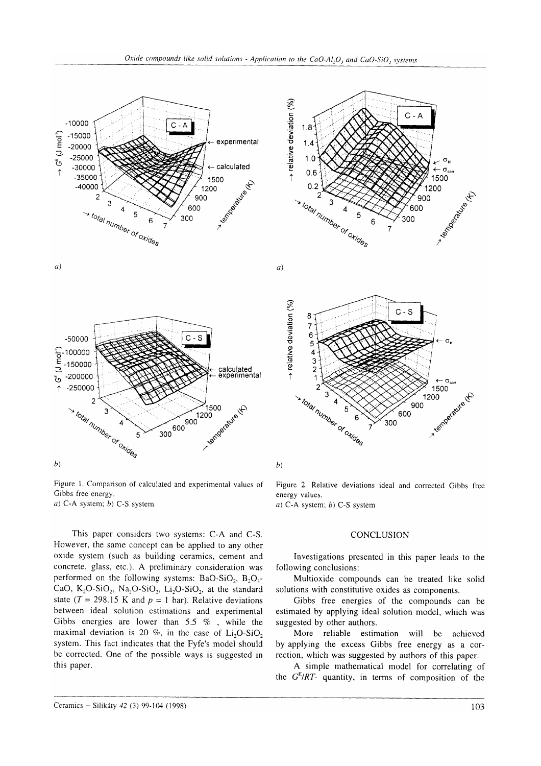



Figure 1. Comparison of calculated and experimental values of Gibbs free energy. a) C-A system;  $b$ ) C-S system

This paper considers two systems: C-A and C-S. However, the same concept can be applied to any other oxide system (such as building ceramics, cement and concrete, glass, etc.). A preliminary consideration was performed on the following systems: BaO-SiO<sub>2</sub>, B<sub>2</sub>O<sub>3</sub>-CaO,  $K_2O-SiO_2$ , Na<sub>2</sub>O-SiO<sub>2</sub>, Li<sub>2</sub>O-SiO<sub>2</sub>, at the standard state ( $T = 298.15$  K and  $p = 1$  bar). Relative deviations between ideal solution estimations and experimental Gibbs energies are lower than 5.5  $\%$ , while the maximal deviation is 20 %, in the case of  $Li<sub>2</sub>O-SiO<sub>2</sub>$ system. This fact indicates that the Fyfe's model should be corrected. One of the possible ways is suggested in this paper.



 $\alpha$ )



 $b)$ 

Figure 2. Relative deviations ideal and corrected Gibbs free energy values.

a) C-A system;  $b$ ) C-S system

## **CONCLUSION**

Investigations presented in this paper leads to the following conclusions:

Multioxide compounds can be treated like solid solutions with constitutive oxides as components.

Gibbs free energies of the compounds can be estimated by applying ideal solution model, which was suggested by other authors.

More reliable estimation will be achieved by applying the excess Gibbs free energy as a correction, which was suggested by authors of this paper.

A simple mathematical model for correlating of the  $G<sup>E</sup>/RT$ - quantity, in terms of composition of the